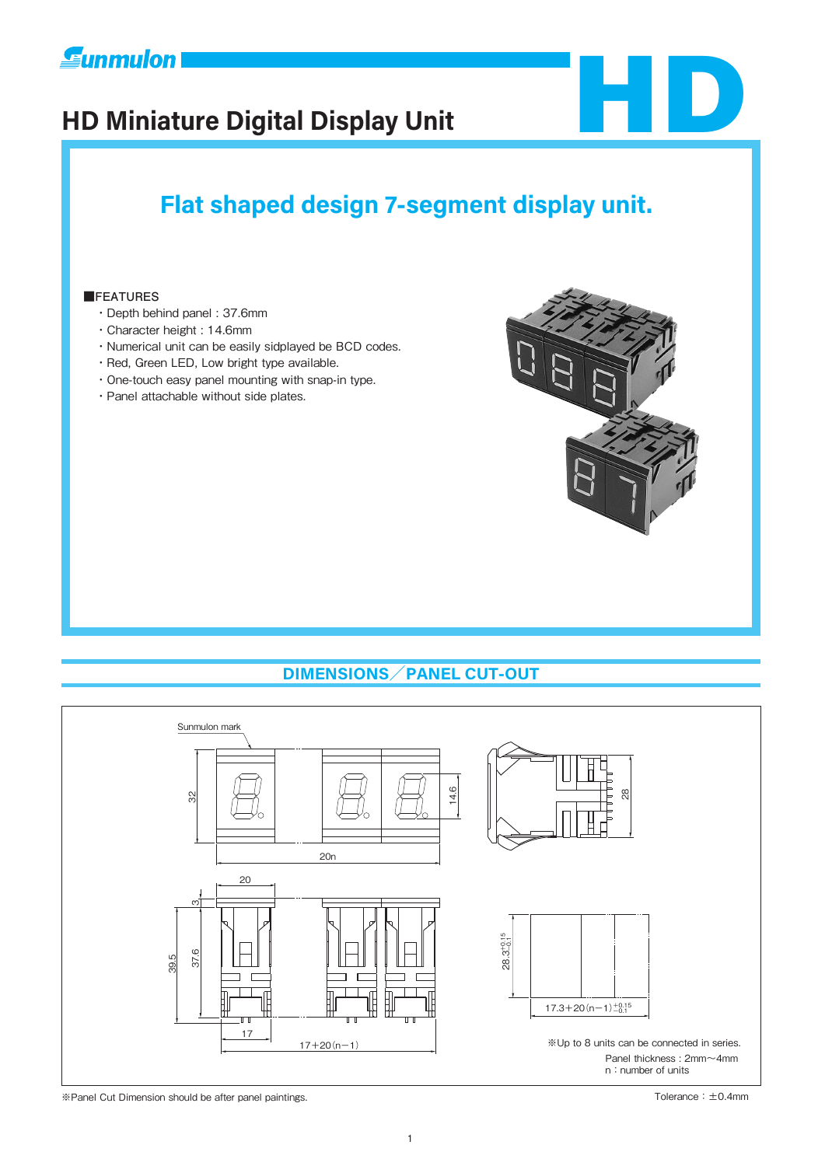# **E**unmulon

# **HD Miniature Digital Display Unit**



# **Flat shaped design 7-segment display unit.**

#### **■FEATURES**

- ・Depth behind panel : 37.6mm
- ・Character height : 14.6mm
- ・Numerical unit can be easily sidplayed be BCD codes.
- ・Red, Green LED, Low bright type available.
- ・One-touch easy panel mounting with snap-in type.
- ・Panel attachable without side plates.





※Panel Cut Dimension should be after panel paintings. Tolerance:±0.4mm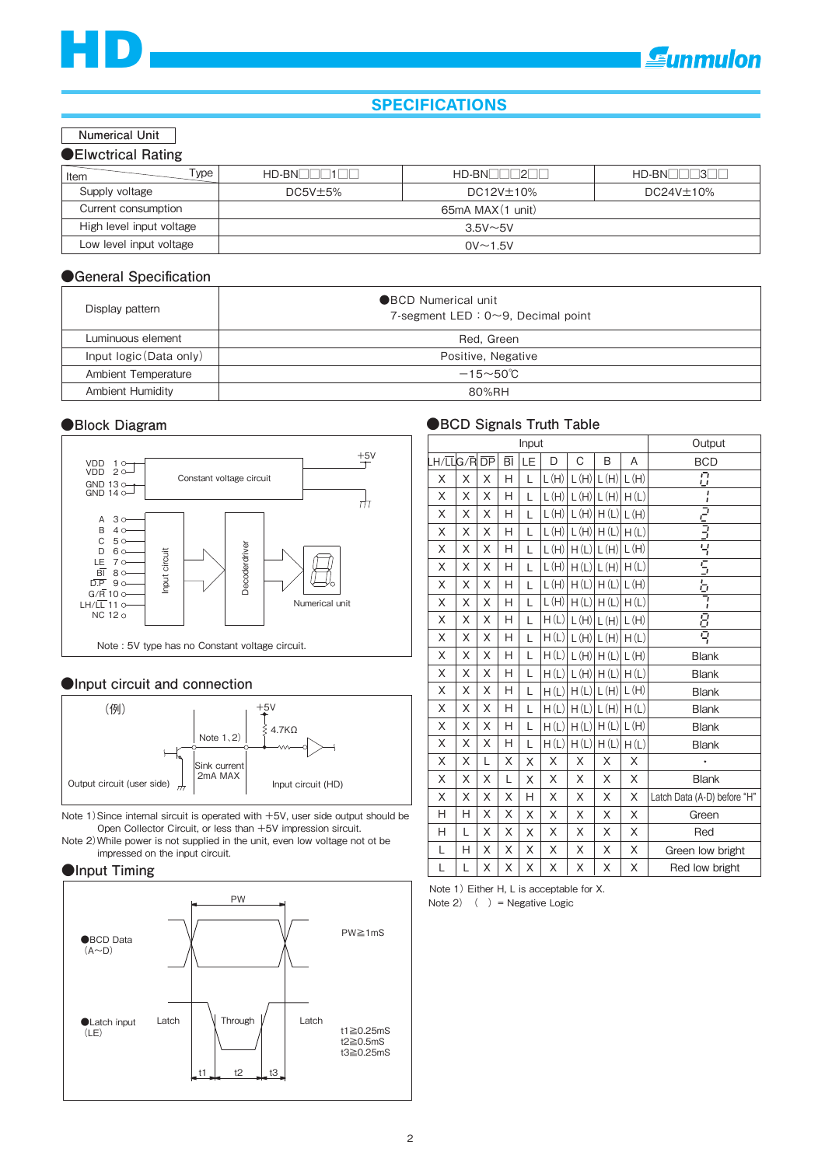### **SPECIFICATIONS**

#### **Numerical Unit**

| Type<br>Item             | $HD-BN$ $1$      | $HD-BN$ 2        | $HD-BN$ $-3$     |  |
|--------------------------|------------------|------------------|------------------|--|
| Supply voltage           | $DC5V \pm 5\%$   | $DC12V \pm 10\%$ | $DC24V \pm 10\%$ |  |
| Current consumption      | 65mA MAX(1 unit) |                  |                  |  |
| High level input voltage |                  | $3.5V \sim 5V$   |                  |  |
| Low level input voltage  |                  | $0V \sim 1.5V$   |                  |  |

#### **●General Specification**

| Display pattern         | ●BCD Numerical unit<br>7-segment LED : $0 \sim 9$ , Decimal point |
|-------------------------|-------------------------------------------------------------------|
| Luminuous element       | Red. Green                                                        |
| Input logic (Data only) | Positive, Negative                                                |
| Ambient Temperature     | $-15 - 50^{\circ}$ C                                              |
| <b>Ambient Humidity</b> | 80%RH                                                             |

#### **●Block Diagram**



#### **●Input circuit and connection**



Note 1)Since internal sircuit is operated with +5V, user side output should be Open Collector Circuit, or less than +5V impression sircuit.

Note 2)While power is not supplied in the unit, even low voltage not ot be impressed on the input circuit.

#### **●Input Timing**



#### **●BCD Signals Truth Table**

| Input      |   |   |                          |    |      |   | Output               |      |                             |
|------------|---|---|--------------------------|----|------|---|----------------------|------|-----------------------------|
| LH/LLG/RDP |   |   | $\overline{\mathsf{BI}}$ | LE | D    | C | B                    | A    | <b>BCD</b>                  |
| X          | X | X | Н                        | L  | L(H) |   | $L(H)$ $L(H)$        | L(H) | $\overline{C}$              |
| X          | X | X | Н                        | L  | L(H) |   | $L(H)$ $L(H)$        | H(L) | ı                           |
| X          | X | X | H                        | L  | L(H) |   | $L(H)$ $H(L)$ $L(H)$ |      | フェラ                         |
| X          | Χ | X | H                        | L  | L(H) |   | $L(H)$ $H(L)$        | H(L) |                             |
| X          | X | X | H                        | L  | L(H) |   | H(L) L(H) L(H)       |      | 닉                           |
| X          | X | X | H                        | L  | L(H) |   | H(L) L(H) H(L)       |      | $\overline{5}$              |
| X          | X | X | H                        | L  | L(H) |   | $H(L)$ $H(L)$ $L(H)$ |      | 휵                           |
| X          | X | Χ | H                        | L  | L(H) |   | $H(L)$ $H(L)$ $H(L)$ |      |                             |
| Χ          | Χ | Χ | Η                        | L  | H(L) |   | $L(H)$ $L(H)$ $L(H)$ |      | $\frac{B}{Q}$               |
| X          | X | Χ | H                        | L  | H(L) |   | $L(H)$ $L(H)$ $H(L)$ |      |                             |
| X          | X | X | H                        | L  | H(L) |   | $L(H)$ $H(L)$ $L(H)$ |      | <b>Blank</b>                |
| Χ          | Χ | X | H                        | L  | H(L) |   | $L(H)$ $H(L)$ $H(L)$ |      | <b>Blank</b>                |
| X          | X | X | H                        | L  | H(L) |   | H(L) L(H) L(H)       |      | <b>Blank</b>                |
| X          | X | X | H                        | L  | H(L) |   | H(L) L(H)            | H(L) | <b>Blank</b>                |
| X          | X | X | H                        | L  | H(L) |   | $H(L)$ $H(L)$ $L(H)$ |      | <b>Blank</b>                |
| X          | X | X | H                        | L  | H(L) |   | $H(L)$ $H(L)$        | H(L) | <b>Blank</b>                |
| Χ          | X | L | X                        | Χ  | X    | X | X                    | X    | $\bullet$                   |
| X          | X | X | L                        | X  | X    | Χ | X                    | X    | <b>Blank</b>                |
| X          | X | X | X                        | Н  | X    | X | X                    | X    | Latch Data (A-D) before "H" |
| Н          | Н | X | X                        | Χ  | X    | Χ | Χ                    | X    | Green                       |
| Н          | L | X | X                        | Χ  | Χ    | X | Χ                    | X    | Red                         |
| L          | H | X | X                        | X  | X    | Χ | Χ                    | X    | Green low bright            |
| L          | L | Χ | Χ                        | X  | Χ    | X | Χ                    | Χ    | Red low bright              |

Note 1) Either H, L is acceptable for X.

Note 2)  $( )$  = Negative Logic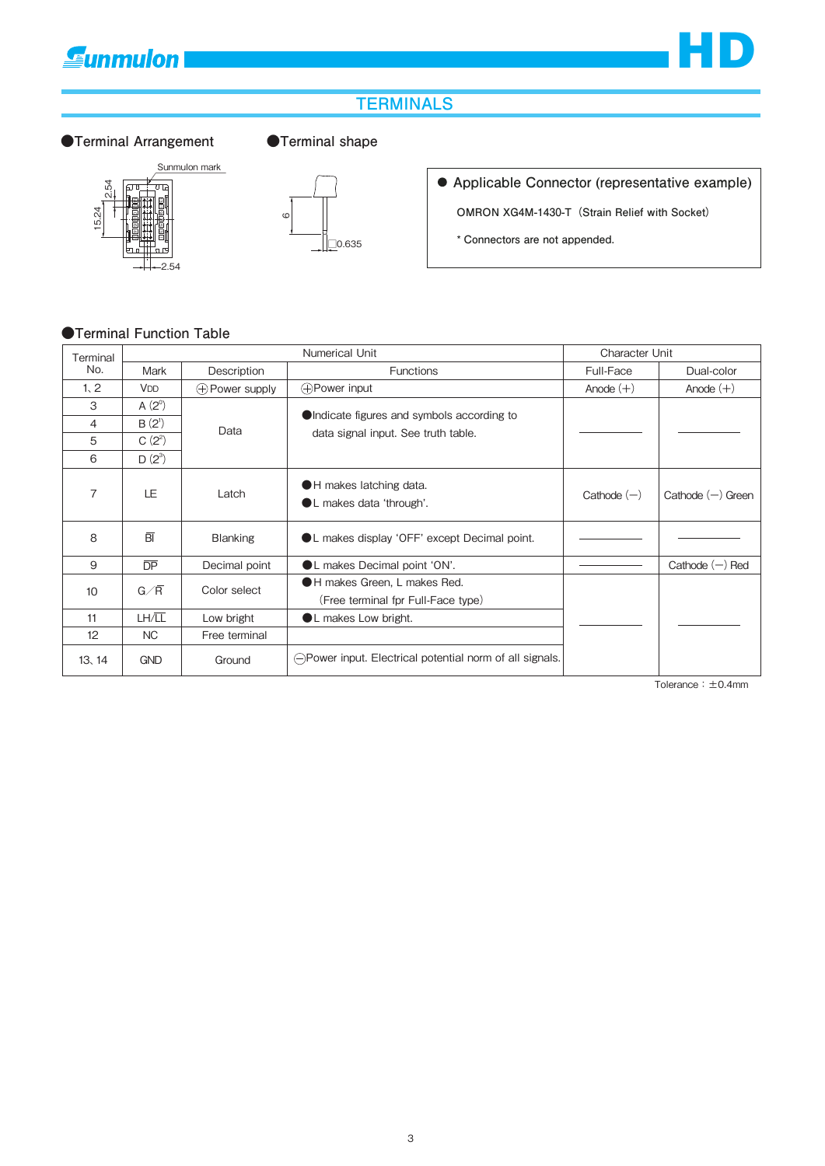## **Gunmulon**



## **TERMINALS**

#### ●Terminal Arrangement ●Terminal shape





**Applicable Connector (representative example)**

**OMRON XG4M-1430-T(Strain Relief with Socket)**

**\* Connectors are not appended.**

#### **●Terminal Function Table**

| Terminal | Numerical Unit        |                          | Character Unit                                                    |               |                     |
|----------|-----------------------|--------------------------|-------------------------------------------------------------------|---------------|---------------------|
| No.      | Mark                  | Description              | <b>Functions</b>                                                  | Full-Face     | Dual-color          |
| 1, 2     | <b>V<sub>DD</sub></b> | $\bigoplus$ Power supply | <b>⊕Power input</b>                                               | Anode $(+)$   | Anode $(+)$         |
| 3        | $A(2^{\circ})$        |                          |                                                                   |               |                     |
| 4        | $B(2^{1})$            | Data                     | OIndicate figures and symbols according to                        |               |                     |
| 5        | $C(2^2)$              |                          | data signal input. See truth table.                               |               |                     |
| 6        | $D(2^3)$              |                          |                                                                   |               |                     |
| 7        | LE.                   | Latch                    | H makes latching data.<br>L makes data 'through'.                 | Cathode $(-)$ | Cathode $(-)$ Green |
| 8        | $\overline{BI}$       | <b>Blanking</b>          | ● L makes display 'OFF' except Decimal point.                     |               |                     |
| 9        | $\overline{DP}$       | Decimal point            | ● L makes Decimal point 'ON'.                                     |               | Cathode $(-)$ Red   |
| 10       | $G/\overline{R}$      | Color select             | H makes Green, L makes Red.<br>(Free terminal fpr Full-Face type) |               |                     |
| 11       | LH/LL                 | Low bright               | L makes Low bright.                                               |               |                     |
| 12       | NC                    | Free terminal            |                                                                   |               |                     |
| 13, 14   | <b>GND</b>            | Ground                   | ○ Power input. Electrical potential norm of all signals.          |               |                     |

Tolerance:±0.4mm